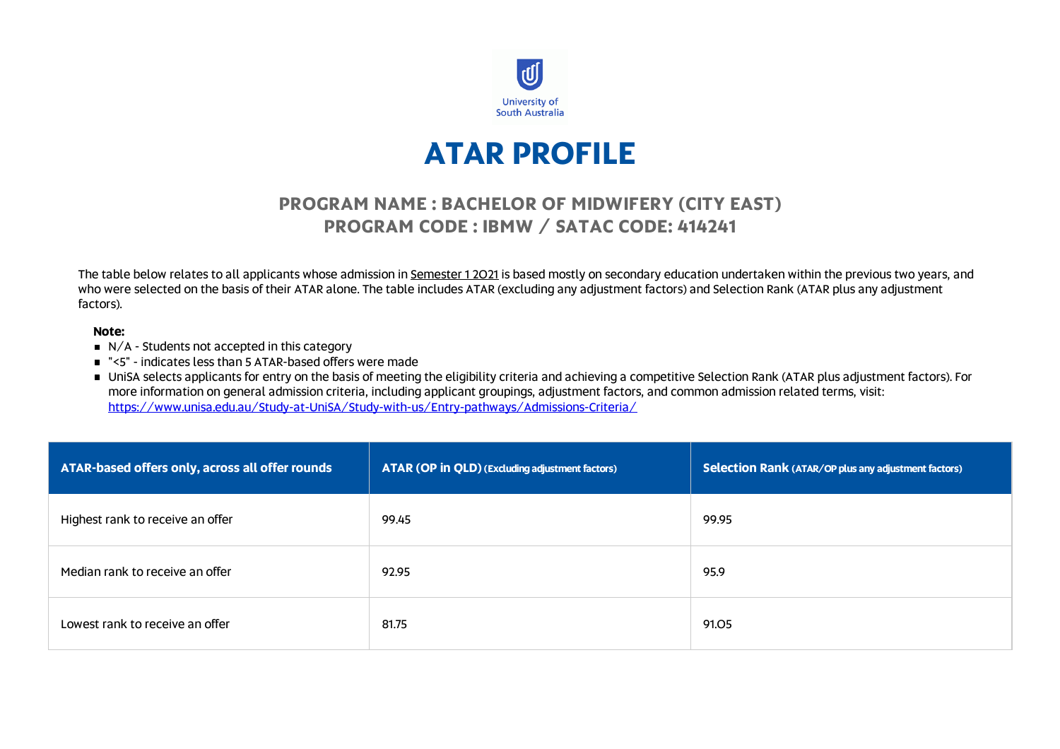

# **ATAR PROFILE**

## **PROGRAM NAME : BACHELOR OF MIDWIFERY (CITY EAST) PROGRAM CODE : IBMW / SATAC CODE: 414241**

The table below relates to all applicants whose admission in Semester 1 2021 is based mostly on secondary education undertaken within the previous two years, and who were selected on the basis of their ATAR alone. The table includes ATAR (excluding any adjustment factors) and Selection Rank (ATAR plus any adjustment factors).

### **Note:**

- $\blacksquare$  N/A Students not accepted in this category
- "<5" indicates less than 5 ATAR-based offers were made

■ UniSA selects applicants for entry on the basis of meeting the eligibility criteria and achieving a competitive Selection Rank (ATAR plus adjustment factors). For more information on general admission criteria, including applicant groupings, adjustment factors, and common admission related terms, visit: <https://www.unisa.edu.au/Study-at-UniSA/Study-with-us/Entry-pathways/Admissions-Criteria/>

| ATAR-based offers only, across all offer rounds | ATAR (OP in QLD) (Excluding adjustment factors) | Selection Rank (ATAR/OP plus any adjustment factors) |
|-------------------------------------------------|-------------------------------------------------|------------------------------------------------------|
| Highest rank to receive an offer                | 99.45                                           | 99.95                                                |
| Median rank to receive an offer                 | 92.95                                           | 95.9                                                 |
| Lowest rank to receive an offer                 | 81.75                                           | 91.05                                                |